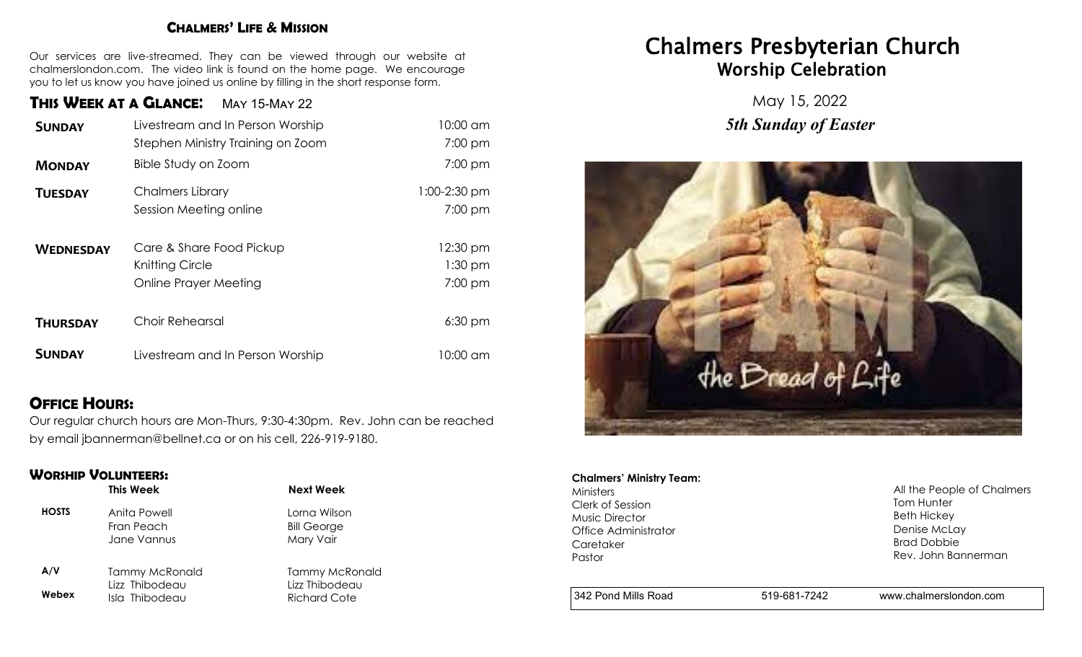## **CHALMERS' LIFE & MISSION**

Our services are live-streamed. They can be viewed through our website at chalmerslondon.com. The video link is found on the home page. We encourage you to let us know you have joined us online by filling in the short response form.

# **THIS WEEK AT <sup>A</sup> GLANCE**: May 15-May 22

| <b>SUNDAY</b>    | Livestream and In Person Worship  | 10:00 am       |
|------------------|-----------------------------------|----------------|
|                  | Stephen Ministry Training on Zoom | 7:00 pm        |
| <b>MONDAY</b>    | Bible Study on Zoom               | 7:00 pm        |
| <b>TUESDAY</b>   | <b>Chalmers Library</b>           | $1:00-2:30$ pm |
|                  | Session Meeting online            | 7:00 pm        |
| <b>WEDNESDAY</b> | Care & Share Food Pickup          | 12:30 pm       |
|                  | Knitting Circle                   | $1:30$ pm      |
|                  | Online Prayer Meeting             | 7:00 pm        |
| <b>THURSDAY</b>  | Choir Rehearsal                   | $6:30$ pm      |
| <b>SUNDAY</b>    | Livestream and In Person Worship  | 10:00 am       |

# **OFFICE HOURS:**

Our regular church hours are Mon-Thurs, 9:30-4:30pm. Rev. John can be reached by email jbannerman@bellnet.ca or on his cell, 226-919-9180.

## **WORSHIP VOLUNTEERS:**

|              | This Week                                 | <b>Next Week</b>                                |
|--------------|-------------------------------------------|-------------------------------------------------|
| <b>HOSTS</b> | Anita Powell<br>Fran Peach<br>Jane Vannus | Lorna Wilson<br><b>Bill George</b><br>Mary Vair |
| A/V          | Tammy McRonald                            | <b>Tammy McRonald</b>                           |
| Webex        | Lizz Thibodeau<br>Isla Thibodeau          | Lizz Thibodeau<br><b>Richard Cote</b>           |

# Chalmers Presbyterian Church Worship Celebration

May 15, 2022 *5th Sunday of Easter*



#### **Chalmers' Ministry Team:** Ministers

Clerk of Session Music Director Office Administrator **Caretaker** Pastor

All the People of Chalmers Tom Hunter Beth Hickey Denise McLay Brad Dobbie Rev. John Bannerman

342 Pond Mills Road 519-681-7242 www.chalmerslondon.com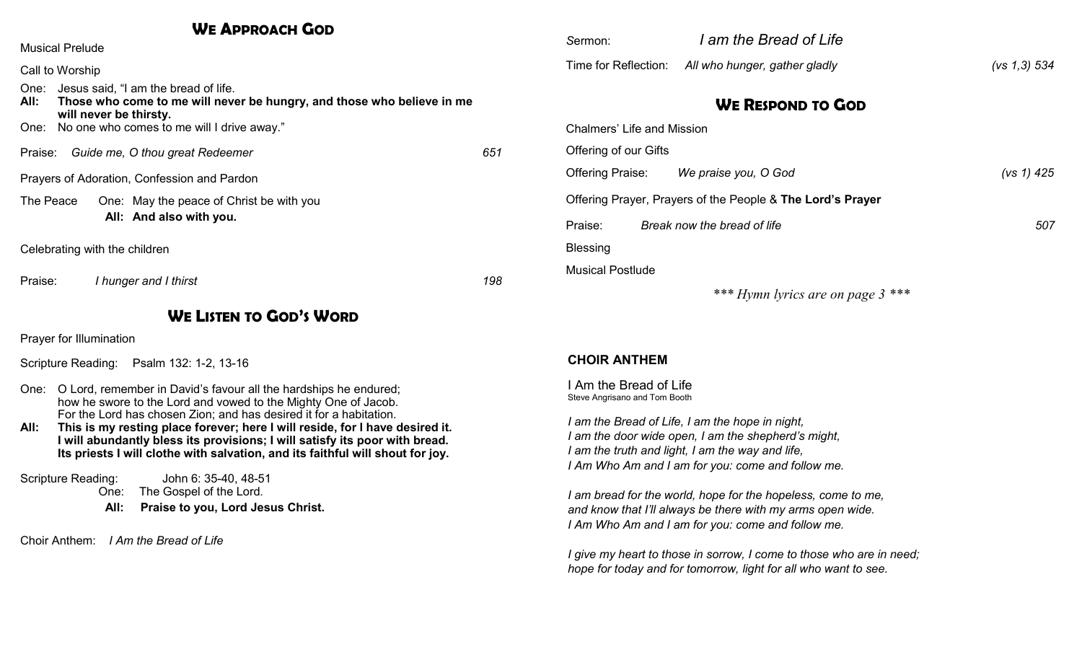| <b>WE APPROACH GOD</b>                                                                                                                                   |     |                            |                                                            |              |
|----------------------------------------------------------------------------------------------------------------------------------------------------------|-----|----------------------------|------------------------------------------------------------|--------------|
| <b>Musical Prelude</b>                                                                                                                                   |     | Sermon:                    | I am the Bread of Life                                     |              |
| Call to Worship                                                                                                                                          |     | Time for Reflection:       | All who hunger, gather gladly                              | (vs 1,3) 534 |
| Jesus said, "I am the bread of life.<br>One:<br>Those who come to me will never be hungry, and those who believe in me<br>All:<br>will never be thirsty. |     |                            | <b>WE RESPOND TO GOD</b>                                   |              |
| One: No one who comes to me will I drive away."                                                                                                          |     | Chalmers' Life and Mission |                                                            |              |
| Guide me, O thou great Redeemer<br>Praise:                                                                                                               | 651 | Offering of our Gifts      |                                                            |              |
| Prayers of Adoration, Confession and Pardon                                                                                                              |     | <b>Offering Praise:</b>    | We praise you, O God                                       | (vs 1) 425   |
| One: May the peace of Christ be with you<br>The Peace                                                                                                    |     |                            | Offering Prayer, Prayers of the People & The Lord's Prayer |              |
| All: And also with you.                                                                                                                                  |     | Praise:                    | Break now the bread of life                                | 507          |
| Celebrating with the children                                                                                                                            |     | <b>Blessing</b>            |                                                            |              |
| Praise:<br>I hunger and I thirst                                                                                                                         | 198 | <b>Musical Postlude</b>    |                                                            |              |
|                                                                                                                                                          |     |                            | *** Hymn lyrics are on page 3 ***                          |              |
| <b>WE LISTEN TO GOD'S WORD</b>                                                                                                                           |     |                            |                                                            |              |
| Prayer for Illumination                                                                                                                                  |     |                            |                                                            |              |

Scripture Reading: Psalm 132: 1-2, 13-16

| One: O Lord, remember in David's favour all the hardships he endured; |
|-----------------------------------------------------------------------|
| how he swore to the Lord and vowed to the Mighty One of Jacob.        |
| For the Lord has chosen Zion; and has desired it for a habitation.    |

**All: This is my resting place forever; here I will reside, for I have desired it. I will abundantly bless its provisions; I will satisfy its poor with bread. Its priests I will clothe with salvation, and its faithful will shout for joy.** 

Scripture Reading: John 6: 35-40, 48-51

- One: The Gospel of the Lord.
- **All: Praise to you, Lord Jesus Christ.**

Choir Anthem: *I Am the Bread of Life* 

## **CHOIR ANTHEM**

I Am the Bread of Life Steve Angrisano and Tom Booth

*I am the Bread of Life, I am the hope in night, I am the door wide open, I am the shepherd's might, I am the truth and light, I am the way and life, I Am Who Am and I am for you: come and follow me.* 

*I am bread for the world, hope for the hopeless, come to me, and know that I'll always be there with my arms open wide. I Am Who Am and I am for you: come and follow me.* 

*I give my heart to those in sorrow, I come to those who are in need; hope for today and for tomorrow, light for all who want to see.*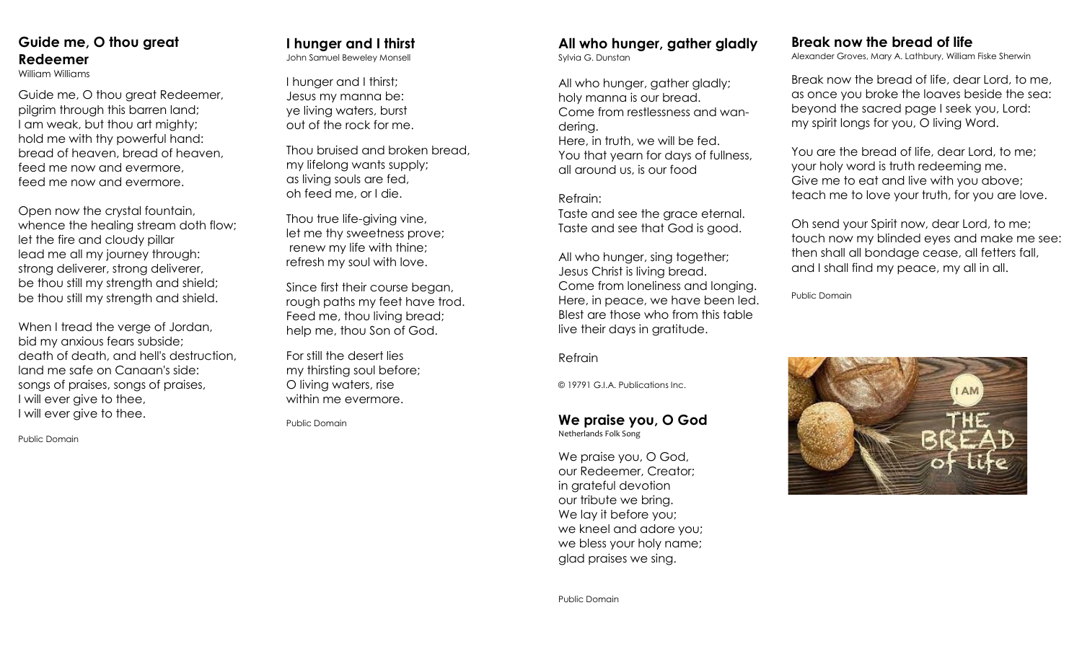#### **Guide me, O thou great Redeemer** William Williams

Guide me, O thou great Redeemer, pilgrim through this barren land; I am weak, but thou art mighty; hold me with thy powerful hand: bread of heaven, bread of heaven, feed me now and evermore, feed me now and evermore.

Open now the crystal fountain, whence the healing stream doth flow; let the fire and cloudy pillar lead me all my journey through: strong deliverer, strong deliverer, be thou still my strength and shield; be thou still my strength and shield.

When I tread the verge of Jordan, bid my anxious fears subside; death of death, and hell's destruction, land me safe on Canaan's side: songs of praises, songs of praises, I will ever give to thee, I will ever give to thee.

Public Domain

# **I hunger and I thirst**

John Samuel Beweley Monsell

I hunger and I thirst; Jesus my manna be: ye living waters, burst out of the rock for me.

Thou bruised and broken bread, my lifelong wants supply; as living souls are fed, oh feed me, or I die.

Thou true life-giving vine, let me thy sweetness prove; renew my life with thine; refresh my soul with love.

Since first their course began, rough paths my feet have trod. Feed me, thou living bread; help me, thou Son of God.

For still the desert lies my thirsting soul before; O living waters, rise within me evermore.

Public Domain

#### **All who hunger, gather gladly** Sylvia G. Dunstan

All who hunger, gather gladly; holy manna is our bread. Come from restlessness and wandering. Here, in truth, we will be fed. You that yearn for days of fullness,

#### Refrain:

Taste and see the grace eternal. Taste and see that God is good.

all around us, is our food

All who hunger, sing together; Jesus Christ is living bread. Come from loneliness and longing. Here, in peace, we have been led. Blest are those who from this table live their days in gratitude.

#### Refrain

© 19791 G.I.A. Publications Inc.

#### **We praise you, O God** Netherlands Folk Song

We praise you, O God, our Redeemer, Creator; in grateful devotion our tribute we bring. We lay it before you; we kneel and adore you; we bless your holy name; glad praises we sing.

## **Break now the bread of life**

Alexander Groves, Mary A. Lathbury, William Fiske Sherwin

Break now the bread of life, dear Lord, to me, as once you broke the loaves beside the sea: beyond the sacred page I seek you, Lord: my spirit longs for you, O living Word.

You are the bread of life, dear Lord, to me; your holy word is truth redeeming me. Give me to eat and live with you above; teach me to love your truth, for you are love.

Oh send your Spirit now, dear Lord, to me; touch now my blinded eyes and make me see: then shall all bondage cease, all fetters fall, and I shall find my peace, my all in all.

Public Domain



Public Domain